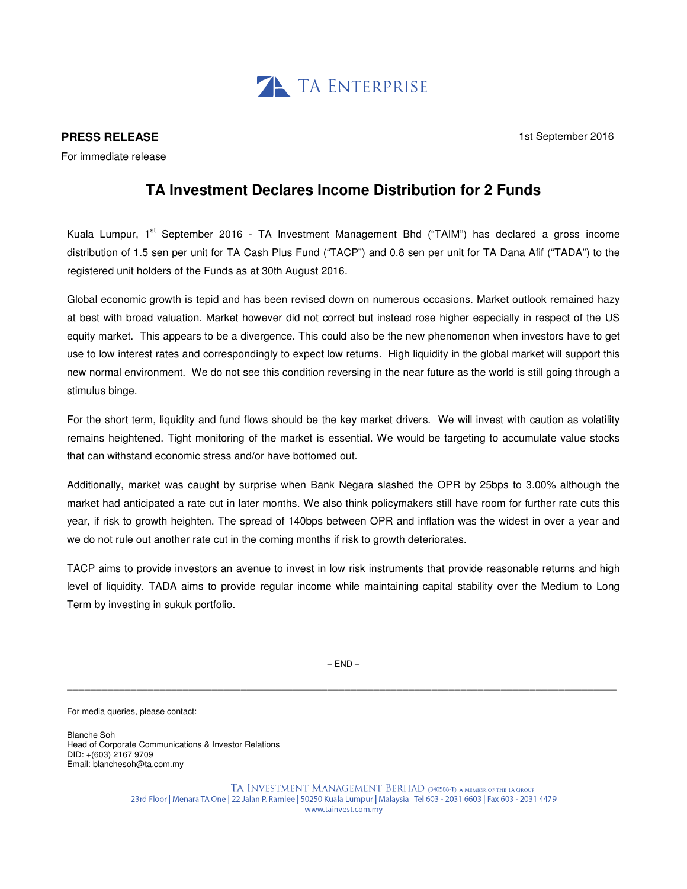

## **PRESS RELEASE**

For immediate release

1st September 2016

## **TA Investment Declares Income Distribution for 2 Funds**

Kuala Lumpur, 1<sup>st</sup> September 2016 - TA Investment Management Bhd ("TAIM") has declared a gross income distribution of 1.5 sen per unit for TA Cash Plus Fund ("TACP") and 0.8 sen per unit for TA Dana Afif ("TADA") to the registered unit holders of the Funds as at 30th August 2016.

Global economic growth is tepid and has been revised down on numerous occasions. Market outlook remained hazy at best with broad valuation. Market however did not correct but instead rose higher especially in respect of the US equity market. This appears to be a divergence. This could also be the new phenomenon when investors have to get use to low interest rates and correspondingly to expect low returns. High liquidity in the global market will support this new normal environment. We do not see this condition reversing in the near future as the world is still going through a stimulus binge.

For the short term, liquidity and fund flows should be the key market drivers. We will invest with caution as volatility remains heightened. Tight monitoring of the market is essential. We would be targeting to accumulate value stocks that can withstand economic stress and/or have bottomed out.

Additionally, market was caught by surprise when Bank Negara slashed the OPR by 25bps to 3.00% although the market had anticipated a rate cut in later months. We also think policymakers still have room for further rate cuts this year, if risk to growth heighten. The spread of 140bps between OPR and inflation was the widest in over a year and we do not rule out another rate cut in the coming months if risk to growth deteriorates.

TACP aims to provide investors an avenue to invest in low risk instruments that provide reasonable returns and high level of liquidity. TADA aims to provide regular income while maintaining capital stability over the Medium to Long Term by investing in sukuk portfolio.

\_\_\_\_\_\_\_\_\_\_\_\_\_\_\_\_\_\_\_\_\_\_\_\_\_\_\_\_\_\_\_\_\_\_\_\_\_\_\_\_\_\_\_\_\_\_\_\_\_\_\_\_\_\_\_\_\_\_\_\_\_\_\_\_\_\_\_\_\_\_\_\_\_\_\_\_\_\_\_\_\_\_\_\_\_\_\_\_\_\_\_\_\_\_\_  $-$  END  $-$ 

For media queries, please contact:

Blanche Soh Head of Corporate Communications & Investor Relations DID: +(603) 2167 9709 Email: blanchesoh@ta.com.my

> TA INVESTMENT MANAGEMENT BERHAD (340588-T) a member of the TA Group 23rd Floor | Menara TA One | 22 Jalan P. Ramlee | 50250 Kuala Lumpur | Malaysia | Tel 603 - 2031 6603 | Fax 603 - 2031 4479 www.tainvest.com.my